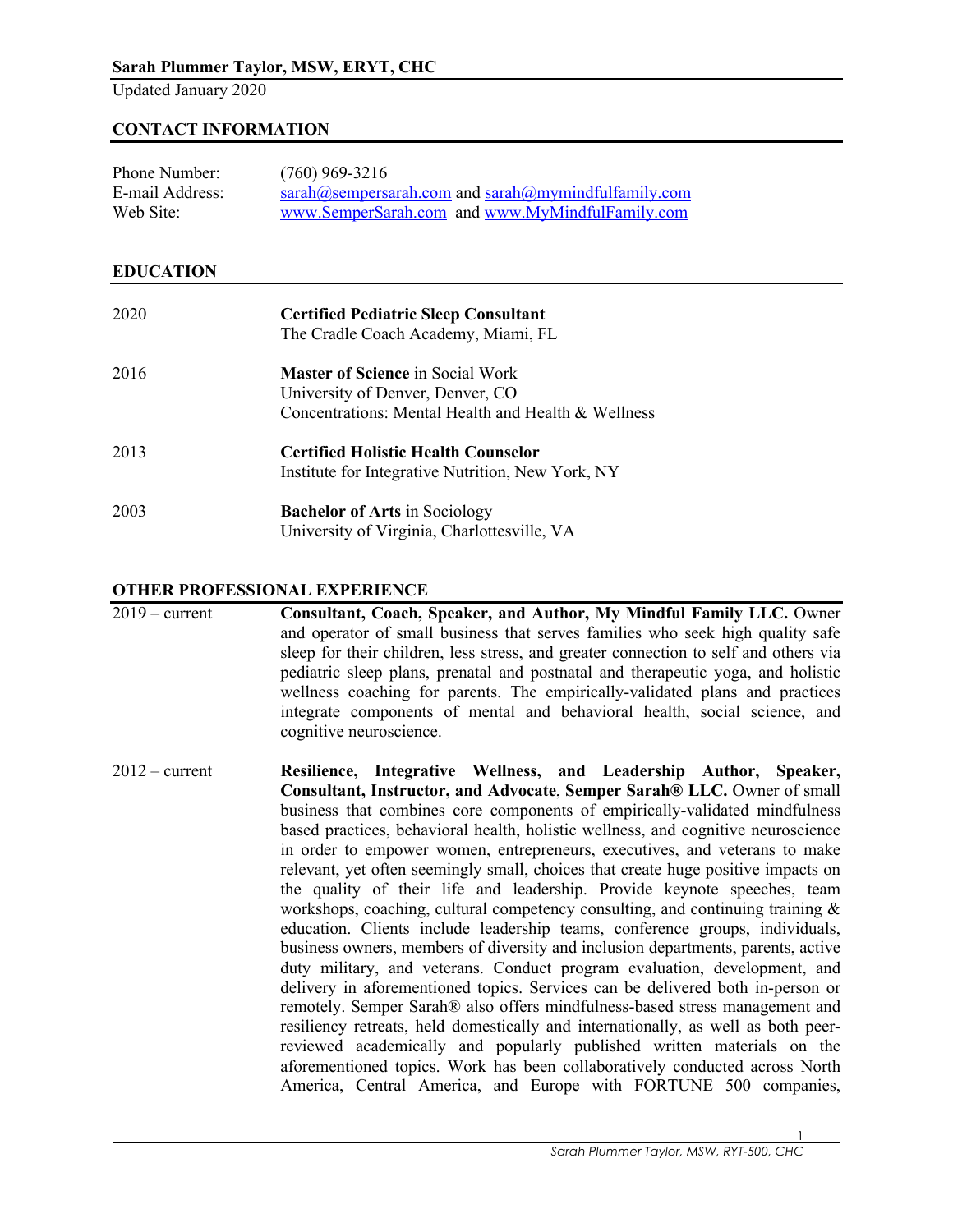Updated January 2020

# **CONTACT INFORMATION**

| Phone Number:   | $(760)$ 969-3216                                        |
|-----------------|---------------------------------------------------------|
| E-mail Address: | $sarah@sempersarah.com$ and $sarah@mymindfulfamily.com$ |
| Web Site:       | www.SemperSarah.com and www.MyMindfulFamily.com         |

### **EDUCATION**

| 2020 | <b>Certified Pediatric Sleep Consultant</b><br>The Cradle Coach Academy, Miami, FL                                                 |
|------|------------------------------------------------------------------------------------------------------------------------------------|
| 2016 | <b>Master of Science in Social Work</b><br>University of Denver, Denver, CO<br>Concentrations: Mental Health and Health & Wellness |
| 2013 | <b>Certified Holistic Health Counselor</b><br>Institute for Integrative Nutrition, New York, NY                                    |
| 2003 | <b>Bachelor of Arts in Sociology</b><br>University of Virginia, Charlottesville, VA                                                |

### **OTHER PROFESSIONAL EXPERIENCE**

2019 – current **Consultant, Coach, Speaker, and Author, My Mindful Family LLC.** Owner and operator of small business that serves families who seek high quality safe sleep for their children, less stress, and greater connection to self and others via pediatric sleep plans, prenatal and postnatal and therapeutic yoga, and holistic wellness coaching for parents. The empirically-validated plans and practices integrate components of mental and behavioral health, social science, and cognitive neuroscience.

2012 – current **Resilience, Integrative Wellness, and Leadership Author, Speaker, Consultant, Instructor, and Advocate**, **Semper Sarah® LLC.** Owner of small business that combines core components of empirically-validated mindfulness based practices, behavioral health, holistic wellness, and cognitive neuroscience in order to empower women, entrepreneurs, executives, and veterans to make relevant, yet often seemingly small, choices that create huge positive impacts on the quality of their life and leadership. Provide keynote speeches, team workshops, coaching, cultural competency consulting, and continuing training & education. Clients include leadership teams, conference groups, individuals, business owners, members of diversity and inclusion departments, parents, active duty military, and veterans. Conduct program evaluation, development, and delivery in aforementioned topics. Services can be delivered both in-person or remotely. Semper Sarah® also offers mindfulness-based stress management and resiliency retreats, held domestically and internationally, as well as both peerreviewed academically and popularly published written materials on the aforementioned topics. Work has been collaboratively conducted across North America, Central America, and Europe with FORTUNE 500 companies,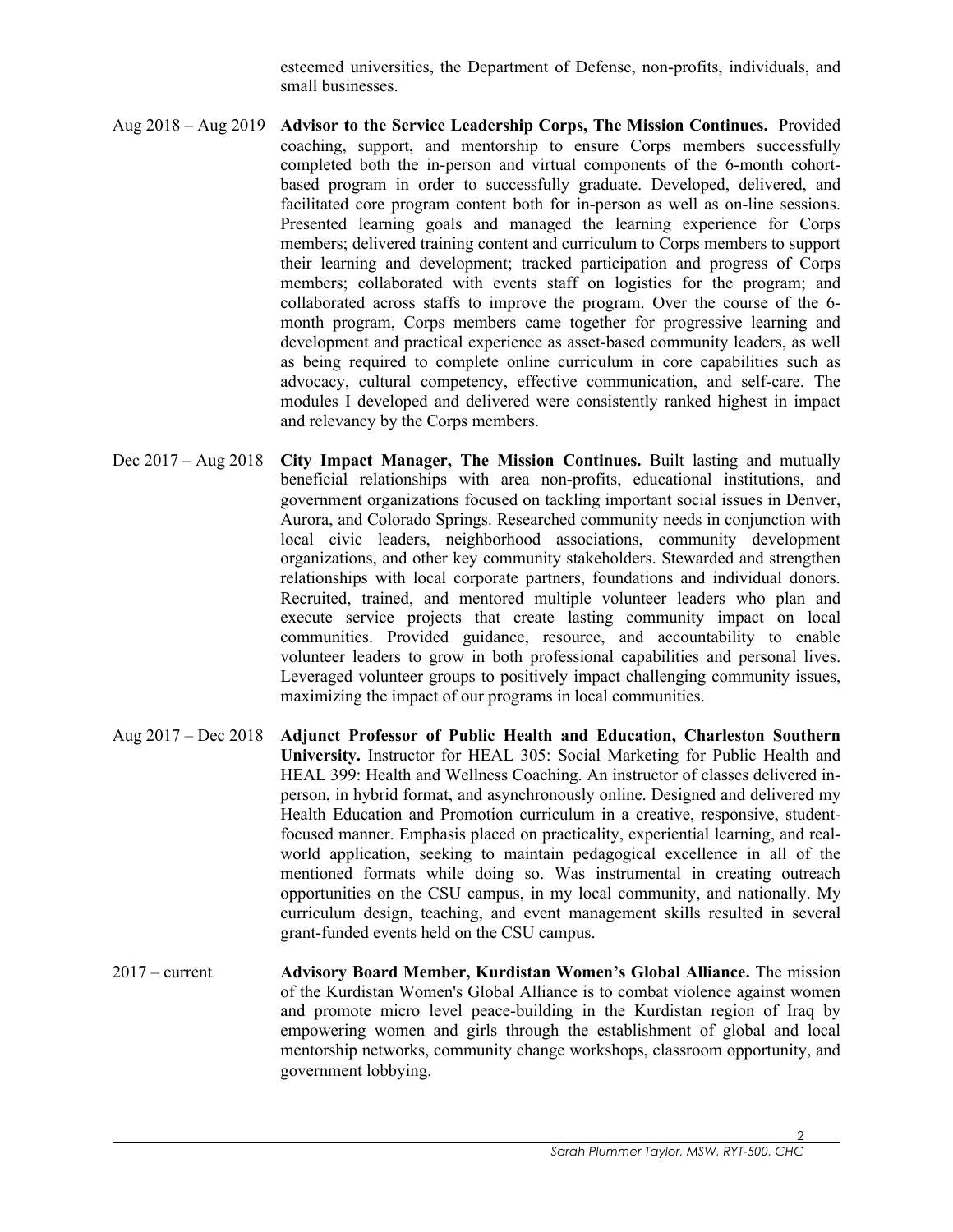esteemed universities, the Department of Defense, non-profits, individuals, and small businesses.

- Aug 2018 Aug 2019 **Advisor to the Service Leadership Corps, The Mission Continues.** Provided coaching, support, and mentorship to ensure Corps members successfully completed both the in-person and virtual components of the 6-month cohortbased program in order to successfully graduate. Developed, delivered, and facilitated core program content both for in-person as well as on-line sessions. Presented learning goals and managed the learning experience for Corps members; delivered training content and curriculum to Corps members to support their learning and development; tracked participation and progress of Corps members; collaborated with events staff on logistics for the program; and collaborated across staffs to improve the program. Over the course of the 6 month program, Corps members came together for progressive learning and development and practical experience as asset-based community leaders, as well as being required to complete online curriculum in core capabilities such as advocacy, cultural competency, effective communication, and self-care. The modules I developed and delivered were consistently ranked highest in impact and relevancy by the Corps members.
- Dec 2017 Aug 2018 **City Impact Manager, The Mission Continues.** Built lasting and mutually beneficial relationships with area non-profits, educational institutions, and government organizations focused on tackling important social issues in Denver, Aurora, and Colorado Springs. Researched community needs in conjunction with local civic leaders, neighborhood associations, community development organizations, and other key community stakeholders. Stewarded and strengthen relationships with local corporate partners, foundations and individual donors. Recruited, trained, and mentored multiple volunteer leaders who plan and execute service projects that create lasting community impact on local communities. Provided guidance, resource, and accountability to enable volunteer leaders to grow in both professional capabilities and personal lives. Leveraged volunteer groups to positively impact challenging community issues, maximizing the impact of our programs in local communities.
- Aug 2017 Dec 2018 **Adjunct Professor of Public Health and Education, Charleston Southern University.** Instructor for HEAL 305: Social Marketing for Public Health and HEAL 399: Health and Wellness Coaching. An instructor of classes delivered inperson, in hybrid format, and asynchronously online. Designed and delivered my Health Education and Promotion curriculum in a creative, responsive, studentfocused manner. Emphasis placed on practicality, experiential learning, and realworld application, seeking to maintain pedagogical excellence in all of the mentioned formats while doing so. Was instrumental in creating outreach opportunities on the CSU campus, in my local community, and nationally. My curriculum design, teaching, and event management skills resulted in several grant-funded events held on the CSU campus.
- 2017 current **Advisory Board Member, Kurdistan Women's Global Alliance.** The mission of the Kurdistan Women's Global Alliance is to combat violence against women and promote micro level peace-building in the Kurdistan region of Iraq by empowering women and girls through the establishment of global and local mentorship networks, community change workshops, classroom opportunity, and government lobbying.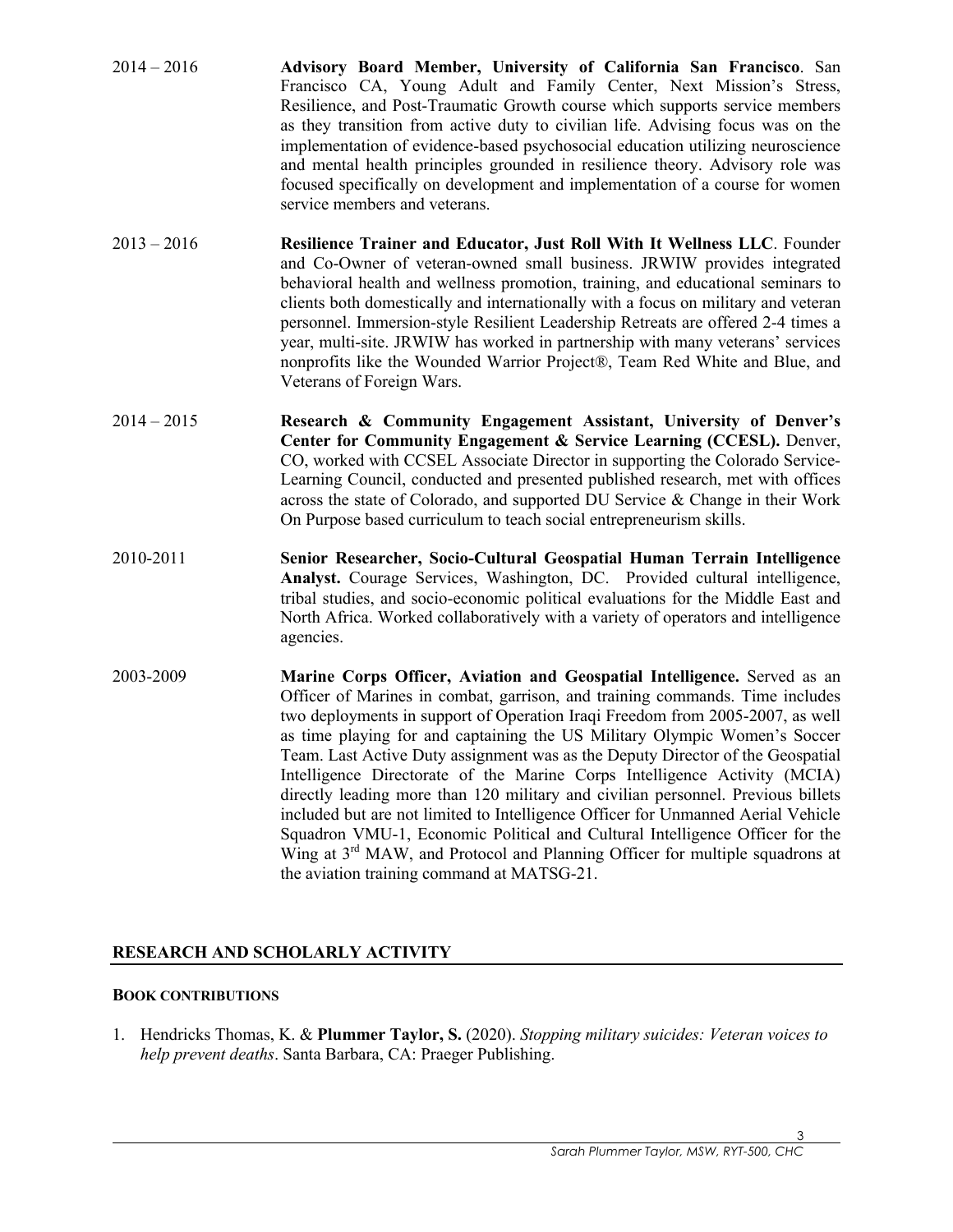| $2014 - 2016$ | Advisory Board Member, University of California San Francisco. San              |
|---------------|---------------------------------------------------------------------------------|
|               | Francisco CA, Young Adult and Family Center, Next Mission's Stress,             |
|               | Resilience, and Post-Traumatic Growth course which supports service members     |
|               | as they transition from active duty to civilian life. Advising focus was on the |
|               | implementation of evidence-based psychosocial education utilizing neuroscience  |
|               | and mental health principles grounded in resilience theory. Advisory role was   |
|               | focused specifically on development and implementation of a course for women    |
|               | service members and veterans.                                                   |

- 2013 2016 **Resilience Trainer and Educator, Just Roll With It Wellness LLC**. Founder and Co-Owner of veteran-owned small business. JRWIW provides integrated behavioral health and wellness promotion, training, and educational seminars to clients both domestically and internationally with a focus on military and veteran personnel. Immersion-style Resilient Leadership Retreats are offered 2-4 times a year, multi-site. JRWIW has worked in partnership with many veterans' services nonprofits like the Wounded Warrior Project®, Team Red White and Blue, and Veterans of Foreign Wars.
- 2014 2015 **Research & Community Engagement Assistant, University of Denver's Center for Community Engagement & Service Learning (CCESL).** Denver, CO, worked with CCSEL Associate Director in supporting the Colorado Service-Learning Council, conducted and presented published research, met with offices across the state of Colorado, and supported DU Service & Change in their Work On Purpose based curriculum to teach social entrepreneurism skills.
- 2010-2011 **Senior Researcher, Socio-Cultural Geospatial Human Terrain Intelligence Analyst.** Courage Services, Washington, DC. Provided cultural intelligence, tribal studies, and socio-economic political evaluations for the Middle East and North Africa. Worked collaboratively with a variety of operators and intelligence agencies.
- 2003-2009 **Marine Corps Officer, Aviation and Geospatial Intelligence.** Served as an Officer of Marines in combat, garrison, and training commands. Time includes two deployments in support of Operation Iraqi Freedom from 2005-2007, as well as time playing for and captaining the US Military Olympic Women's Soccer Team. Last Active Duty assignment was as the Deputy Director of the Geospatial Intelligence Directorate of the Marine Corps Intelligence Activity (MCIA) directly leading more than 120 military and civilian personnel. Previous billets included but are not limited to Intelligence Officer for Unmanned Aerial Vehicle Squadron VMU-1, Economic Political and Cultural Intelligence Officer for the Wing at 3<sup>rd</sup> MAW, and Protocol and Planning Officer for multiple squadrons at the aviation training command at MATSG-21.

# **RESEARCH AND SCHOLARLY ACTIVITY**

### **BOOK CONTRIBUTIONS**

1. Hendricks Thomas, K. & **Plummer Taylor, S.** (2020). *Stopping military suicides: Veteran voices to help prevent deaths*. Santa Barbara, CA: Praeger Publishing.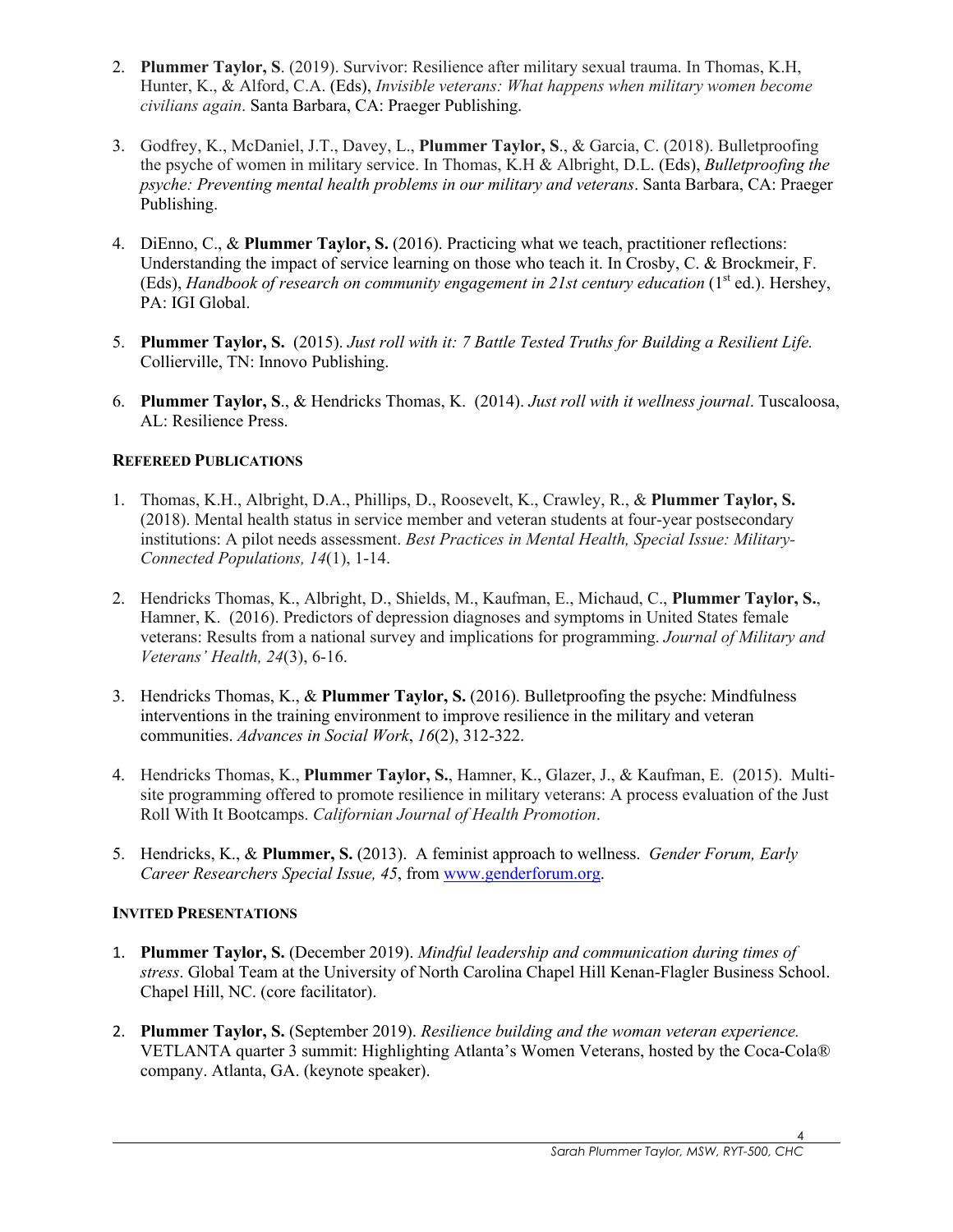- 2. **Plummer Taylor, S**. (2019). Survivor: Resilience after military sexual trauma. In Thomas, K.H, Hunter, K., & Alford, C.A. (Eds), *Invisible veterans: What happens when military women become civilians again*. Santa Barbara, CA: Praeger Publishing.
- 3. Godfrey, K., McDaniel, J.T., Davey, L., **Plummer Taylor, S**., & Garcia, C. (2018). Bulletproofing the psyche of women in military service. In Thomas, K.H & Albright, D.L. (Eds), *Bulletproofing the psyche: Preventing mental health problems in our military and veterans*. Santa Barbara, CA: Praeger Publishing.
- 4. DiEnno, C., & **Plummer Taylor, S.** (2016). Practicing what we teach, practitioner reflections: Understanding the impact of service learning on those who teach it. In Crosby, C. & Brockmeir, F. (Eds), *Handbook of research on community engagement in 21st century education* (1<sup>st</sup> ed.). Hershey, PA: IGI Global.
- 5. **Plummer Taylor, S.** (2015). *Just roll with it: 7 Battle Tested Truths for Building a Resilient Life.* Collierville, TN: Innovo Publishing.
- 6. **Plummer Taylor, S**., & Hendricks Thomas, K. (2014). *Just roll with it wellness journal*. Tuscaloosa, AL: Resilience Press.

# **REFEREED PUBLICATIONS**

- 1. Thomas, K.H., Albright, D.A., Phillips, D., Roosevelt, K., Crawley, R., & **Plummer Taylor, S.** (2018). Mental health status in service member and veteran students at four-year postsecondary institutions: A pilot needs assessment. *Best Practices in Mental Health, Special Issue: Military-Connected Populations, 14*(1), 1-14.
- 2. Hendricks Thomas, K., Albright, D., Shields, M., Kaufman, E., Michaud, C., **Plummer Taylor, S.**, Hamner, K. (2016). Predictors of depression diagnoses and symptoms in United States female veterans: Results from a national survey and implications for programming. *Journal of Military and Veterans' Health, 24*(3), 6-16.
- 3. Hendricks Thomas, K., & **Plummer Taylor, S.** (2016). Bulletproofing the psyche: Mindfulness interventions in the training environment to improve resilience in the military and veteran communities. *Advances in Social Work*, *16*(2), 312-322.
- 4. Hendricks Thomas, K., **Plummer Taylor, S.**, Hamner, K., Glazer, J., & Kaufman, E. (2015). Multisite programming offered to promote resilience in military veterans: A process evaluation of the Just Roll With It Bootcamps. *Californian Journal of Health Promotion*.
- 5. Hendricks, K., & **Plummer, S.** (2013). A feminist approach to wellness. *Gender Forum, Early Career Researchers Special Issue, 45*, from www.genderforum.org.

### **INVITED PRESENTATIONS**

- 1. **Plummer Taylor, S.** (December 2019). *Mindful leadership and communication during times of stress*. Global Team at the University of North Carolina Chapel Hill Kenan-Flagler Business School. Chapel Hill, NC. (core facilitator).
- 2. **Plummer Taylor, S.** (September 2019). *Resilience building and the woman veteran experience.*  VETLANTA quarter 3 summit: Highlighting Atlanta's Women Veterans, hosted by the Coca-Cola® company. Atlanta, GA. (keynote speaker).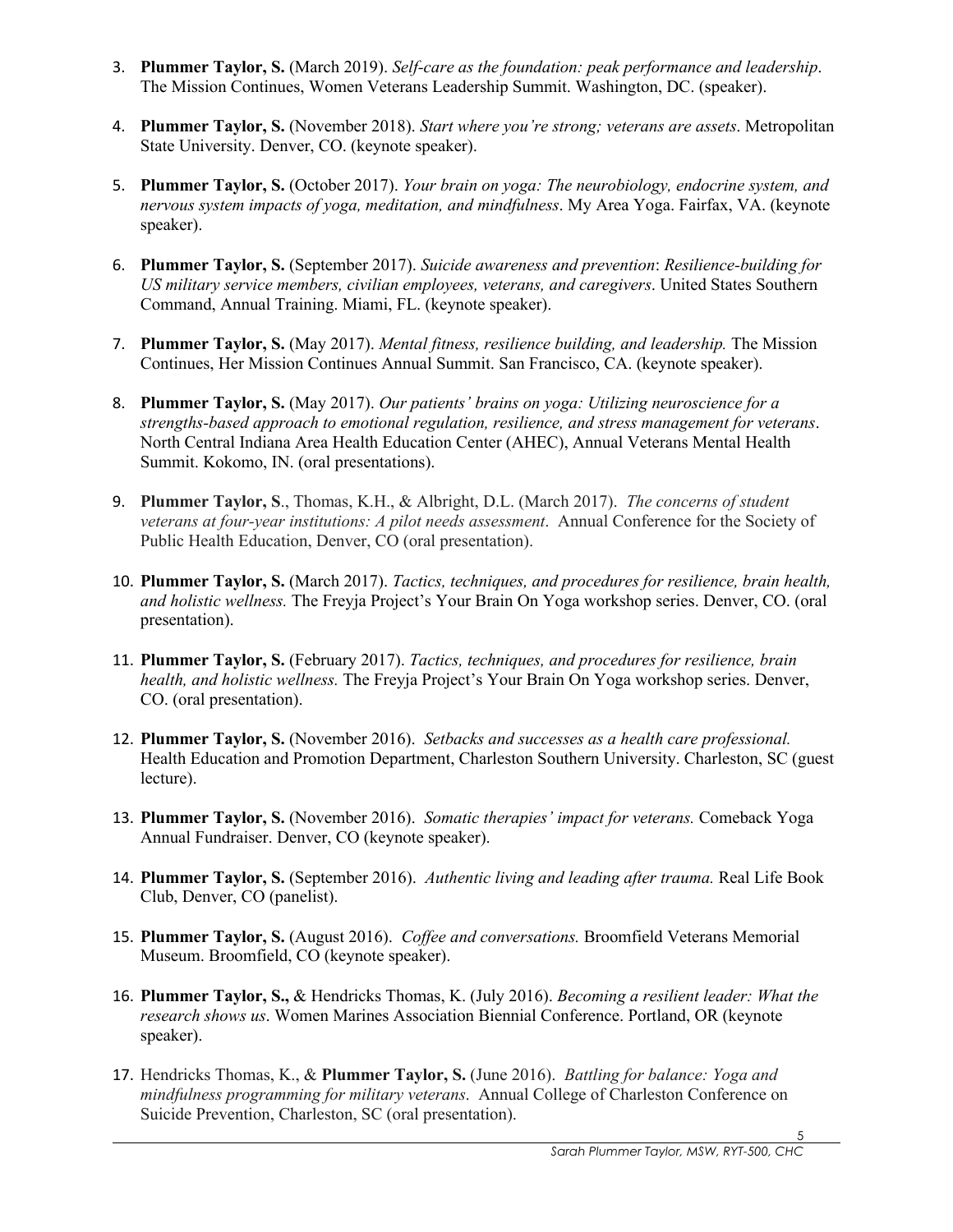- 3. **Plummer Taylor, S.** (March 2019). *Self-care as the foundation: peak performance and leadership*. The Mission Continues, Women Veterans Leadership Summit. Washington, DC. (speaker).
- 4. **Plummer Taylor, S.** (November 2018). *Start where you're strong; veterans are assets*. Metropolitan State University. Denver, CO. (keynote speaker).
- 5. **Plummer Taylor, S.** (October 2017). *Your brain on yoga: The neurobiology, endocrine system, and nervous system impacts of yoga, meditation, and mindfulness*. My Area Yoga. Fairfax, VA. (keynote speaker).
- 6. **Plummer Taylor, S.** (September 2017). *Suicide awareness and prevention*: *Resilience-building for US military service members, civilian employees, veterans, and caregivers*. United States Southern Command, Annual Training. Miami, FL. (keynote speaker).
- 7. **Plummer Taylor, S.** (May 2017). *Mental fitness, resilience building, and leadership.* The Mission Continues, Her Mission Continues Annual Summit. San Francisco, CA. (keynote speaker).
- 8. **Plummer Taylor, S.** (May 2017). *Our patients' brains on yoga: Utilizing neuroscience for a strengths-based approach to emotional regulation, resilience, and stress management for veterans*. North Central Indiana Area Health Education Center (AHEC), Annual Veterans Mental Health Summit. Kokomo, IN. (oral presentations).
- 9. **Plummer Taylor, S**., Thomas, K.H., & Albright, D.L. (March 2017). *The concerns of student veterans at four-year institutions: A pilot needs assessment*. Annual Conference for the Society of Public Health Education, Denver, CO (oral presentation).
- 10. **Plummer Taylor, S.** (March 2017). *Tactics, techniques, and procedures for resilience, brain health, and holistic wellness.* The Freyja Project's Your Brain On Yoga workshop series. Denver, CO. (oral presentation).
- 11. **Plummer Taylor, S.** (February 2017). *Tactics, techniques, and procedures for resilience, brain health, and holistic wellness.* The Freyja Project's Your Brain On Yoga workshop series. Denver, CO. (oral presentation).
- 12. **Plummer Taylor, S.** (November 2016). *Setbacks and successes as a health care professional.*  Health Education and Promotion Department, Charleston Southern University. Charleston, SC (guest lecture).
- 13. **Plummer Taylor, S.** (November 2016). *Somatic therapies' impact for veterans.* Comeback Yoga Annual Fundraiser. Denver, CO (keynote speaker).
- 14. **Plummer Taylor, S.** (September 2016). *Authentic living and leading after trauma.* Real Life Book Club, Denver, CO (panelist).
- 15. **Plummer Taylor, S.** (August 2016). *Coffee and conversations.* Broomfield Veterans Memorial Museum. Broomfield, CO (keynote speaker).
- 16. **Plummer Taylor, S.,** & Hendricks Thomas, K. (July 2016). *Becoming a resilient leader: What the research shows us*. Women Marines Association Biennial Conference. Portland, OR (keynote speaker).
- 17. Hendricks Thomas, K., & **Plummer Taylor, S.** (June 2016). *Battling for balance: Yoga and mindfulness programming for military veterans*. Annual College of Charleston Conference on Suicide Prevention, Charleston, SC (oral presentation).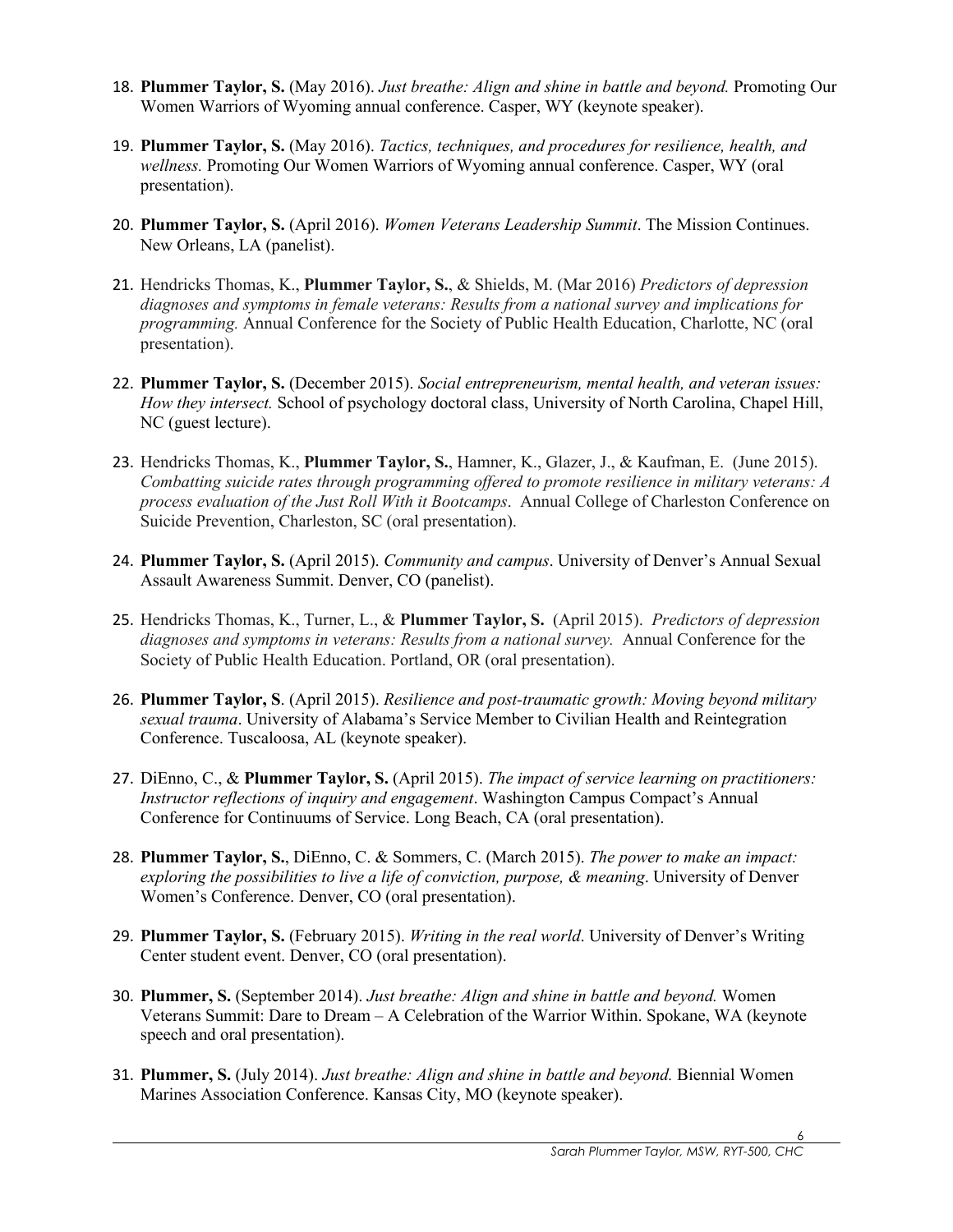- 18. **Plummer Taylor, S.** (May 2016). *Just breathe: Align and shine in battle and beyond.* Promoting Our Women Warriors of Wyoming annual conference. Casper, WY (keynote speaker).
- 19. **Plummer Taylor, S.** (May 2016). *Tactics, techniques, and procedures for resilience, health, and wellness.* Promoting Our Women Warriors of Wyoming annual conference. Casper, WY (oral presentation).
- 20. **Plummer Taylor, S.** (April 2016). *Women Veterans Leadership Summit*. The Mission Continues. New Orleans, LA (panelist).
- 21. Hendricks Thomas, K., **Plummer Taylor, S.**, & Shields, M. (Mar 2016) *Predictors of depression diagnoses and symptoms in female veterans: Results from a national survey and implications for programming.* Annual Conference for the Society of Public Health Education, Charlotte, NC (oral presentation).
- 22. **Plummer Taylor, S.** (December 2015). *Social entrepreneurism, mental health, and veteran issues: How they intersect.* School of psychology doctoral class, University of North Carolina, Chapel Hill, NC (guest lecture).
- 23. Hendricks Thomas, K., **Plummer Taylor, S.**, Hamner, K., Glazer, J., & Kaufman, E. (June 2015). *Combatting suicide rates through programming offered to promote resilience in military veterans: A process evaluation of the Just Roll With it Bootcamps*. Annual College of Charleston Conference on Suicide Prevention, Charleston, SC (oral presentation).
- 24. **Plummer Taylor, S.** (April 2015). *Community and campus*. University of Denver's Annual Sexual Assault Awareness Summit. Denver, CO (panelist).
- 25. Hendricks Thomas, K., Turner, L., & **Plummer Taylor, S.** (April 2015). *Predictors of depression diagnoses and symptoms in veterans: Results from a national survey.* Annual Conference for the Society of Public Health Education. Portland, OR (oral presentation).
- 26. **Plummer Taylor, S**. (April 2015). *Resilience and post-traumatic growth: Moving beyond military sexual trauma*. University of Alabama's Service Member to Civilian Health and Reintegration Conference. Tuscaloosa, AL (keynote speaker).
- 27. DiEnno, C., & **Plummer Taylor, S.** (April 2015). *The impact of service learning on practitioners: Instructor reflections of inquiry and engagement*. Washington Campus Compact's Annual Conference for Continuums of Service. Long Beach, CA (oral presentation).
- 28. **Plummer Taylor, S.**, DiEnno, C. & Sommers, C. (March 2015). *The power to make an impact: exploring the possibilities to live a life of conviction, purpose, & meaning*. University of Denver Women's Conference. Denver, CO (oral presentation).
- 29. **Plummer Taylor, S.** (February 2015). *Writing in the real world*. University of Denver's Writing Center student event. Denver, CO (oral presentation).
- 30. **Plummer, S.** (September 2014). *Just breathe: Align and shine in battle and beyond.* Women Veterans Summit: Dare to Dream – A Celebration of the Warrior Within. Spokane, WA (keynote speech and oral presentation).
- 31. **Plummer, S.** (July 2014). *Just breathe: Align and shine in battle and beyond.* Biennial Women Marines Association Conference. Kansas City, MO (keynote speaker).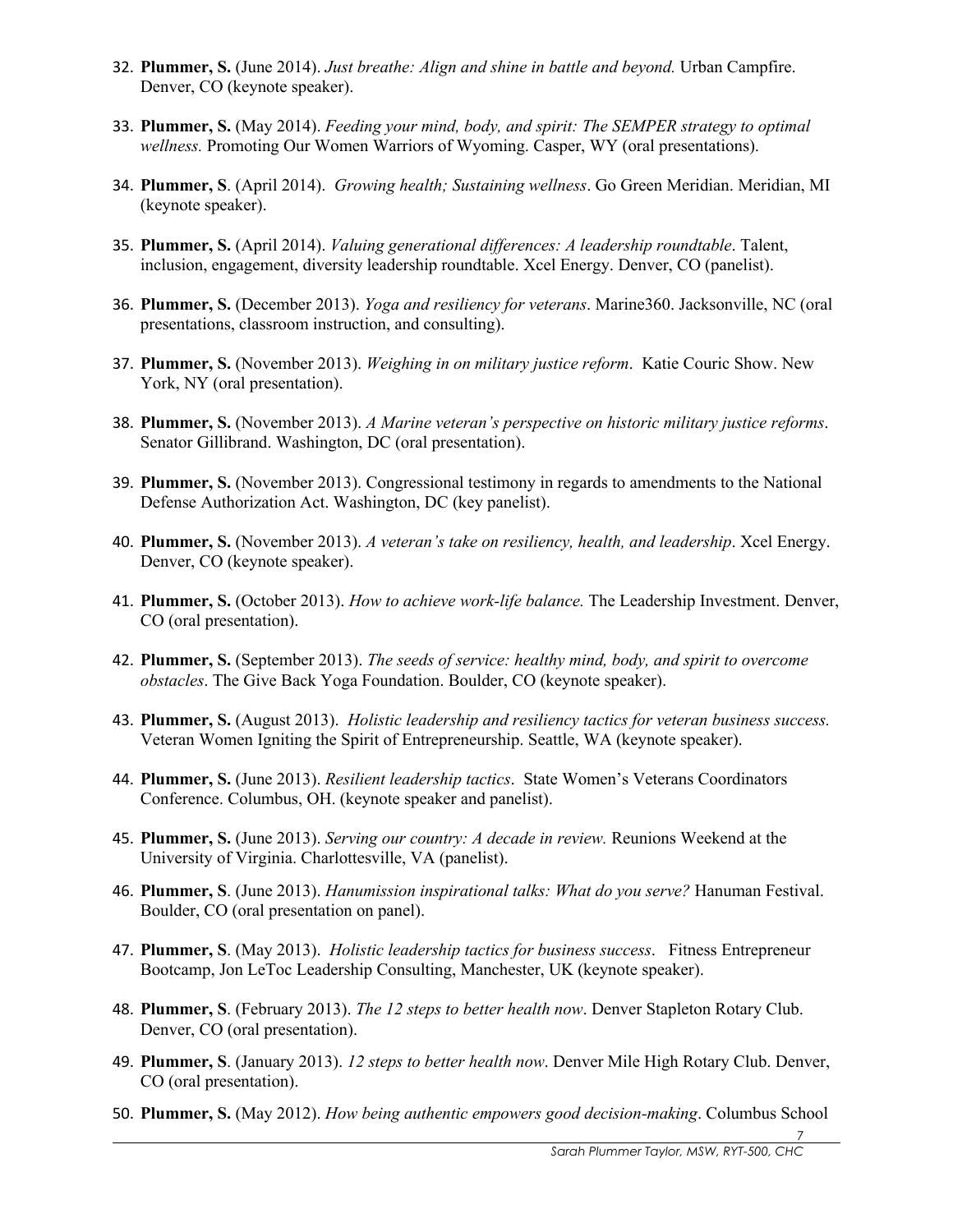- 32. **Plummer, S.** (June 2014). *Just breathe: Align and shine in battle and beyond.* Urban Campfire. Denver, CO (keynote speaker).
- 33. **Plummer, S.** (May 2014). *Feeding your mind, body, and spirit: The SEMPER strategy to optimal wellness.* Promoting Our Women Warriors of Wyoming. Casper, WY (oral presentations).
- 34. **Plummer, S**. (April 2014). *Growing health; Sustaining wellness*. Go Green Meridian. Meridian, MI (keynote speaker).
- 35. **Plummer, S.** (April 2014). *Valuing generational differences: A leadership roundtable*. Talent, inclusion, engagement, diversity leadership roundtable. Xcel Energy. Denver, CO (panelist).
- 36. **Plummer, S.** (December 2013). *Yoga and resiliency for veterans*. Marine360. Jacksonville, NC (oral presentations, classroom instruction, and consulting).
- 37. **Plummer, S.** (November 2013). *Weighing in on military justice reform*. Katie Couric Show. New York, NY (oral presentation).
- 38. **Plummer, S.** (November 2013). *A Marine veteran's perspective on historic military justice reforms*. Senator Gillibrand. Washington, DC (oral presentation).
- 39. **Plummer, S.** (November 2013). Congressional testimony in regards to amendments to the National Defense Authorization Act. Washington, DC (key panelist).
- 40. **Plummer, S.** (November 2013). *A veteran's take on resiliency, health, and leadership*. Xcel Energy. Denver, CO (keynote speaker).
- 41. **Plummer, S.** (October 2013). *How to achieve work-life balance.* The Leadership Investment. Denver, CO (oral presentation).
- 42. **Plummer, S.** (September 2013). *The seeds of service: healthy mind, body, and spirit to overcome obstacles*. The Give Back Yoga Foundation. Boulder, CO (keynote speaker).
- 43. **Plummer, S.** (August 2013). *Holistic leadership and resiliency tactics for veteran business success.*  Veteran Women Igniting the Spirit of Entrepreneurship. Seattle, WA (keynote speaker).
- 44. **Plummer, S.** (June 2013). *Resilient leadership tactics*. State Women's Veterans Coordinators Conference. Columbus, OH. (keynote speaker and panelist).
- 45. **Plummer, S.** (June 2013). *Serving our country: A decade in review.* Reunions Weekend at the University of Virginia. Charlottesville, VA (panelist).
- 46. **Plummer, S**. (June 2013). *Hanumission inspirational talks: What do you serve?* Hanuman Festival. Boulder, CO (oral presentation on panel).
- 47. **Plummer, S**. (May 2013). *Holistic leadership tactics for business success*. Fitness Entrepreneur Bootcamp, Jon LeToc Leadership Consulting, Manchester, UK (keynote speaker).
- 48. **Plummer, S**. (February 2013). *The 12 steps to better health now*. Denver Stapleton Rotary Club. Denver, CO (oral presentation).
- 49. **Plummer, S**. (January 2013). *12 steps to better health now*. Denver Mile High Rotary Club. Denver, CO (oral presentation).
- 50. **Plummer, S.** (May 2012). *How being authentic empowers good decision-making*. Columbus School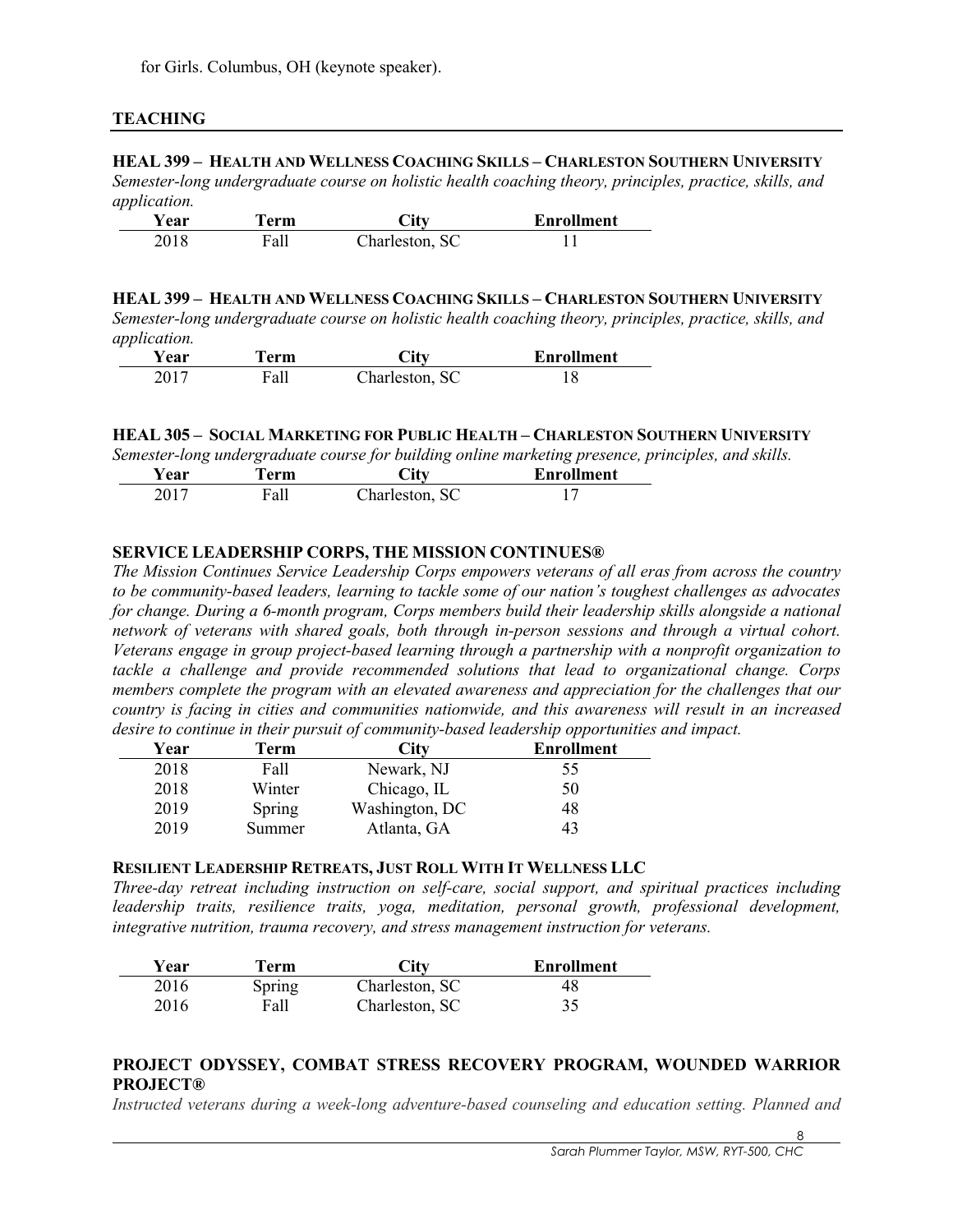# **TEACHING**

### **HEAL 399 – HEALTH AND WELLNESS COACHING SKILLS – CHARLESTON SOUTHERN UNIVERSITY**

*Semester-long undergraduate course on holistic health coaching theory, principles, practice, skills, and application.*

| .<br><b>Year</b> | Ferm | City           | <b>Enrollment</b> |
|------------------|------|----------------|-------------------|
| 2018             | Fall | Charleston, SC |                   |

**HEAL 399 – HEALTH AND WELLNESS COACHING SKILLS – CHARLESTON SOUTHERN UNIVERSITY** *Semester-long undergraduate course on holistic health coaching theory, principles, practice, skills, and application.*

| 1 L<br>Year | Ferm | $\mathbf{C}$ it $\mathbf{v}$ | <b>Enrollment</b> |
|-------------|------|------------------------------|-------------------|
| 2017        | Fall | Charleston, SC               |                   |

### **HEAL 305 – SOCIAL MARKETING FOR PUBLIC HEALTH – CHARLESTON SOUTHERN UNIVERSITY**

*Semester-long undergraduate course for building online marketing presence, principles, and skills.*

| <b>Year</b> | erm  | $\mathbf{C}$ ity | <b>Enrollment</b> |
|-------------|------|------------------|-------------------|
| 2017        | Fall | Charleston, SC   |                   |

# **SERVICE LEADERSHIP CORPS, THE MISSION CONTINUES®**

*The Mission Continues Service Leadership Corps empowers veterans of all eras from across the country to be community-based leaders, learning to tackle some of our nation's toughest challenges as advocates for change. During a 6-month program, Corps members build their leadership skills alongside a national network of veterans with shared goals, both through in-person sessions and through a virtual cohort. Veterans engage in group project-based learning through a partnership with a nonprofit organization to tackle a challenge and provide recommended solutions that lead to organizational change. Corps members complete the program with an elevated awareness and appreciation for the challenges that our country is facing in cities and communities nationwide, and this awareness will result in an increased desire to continue in their pursuit of community-based leadership opportunities and impact.*

| Year | Term   | Citv           | <b>Enrollment</b> |
|------|--------|----------------|-------------------|
| 2018 | Fall   | Newark, NJ     | 55                |
| 2018 | Winter | Chicago, IL    | 50                |
| 2019 | Spring | Washington, DC | 48                |
| 2019 | Summer | Atlanta, GA    |                   |

### **RESILIENT LEADERSHIP RETREATS, JUST ROLL WITH IT WELLNESS LLC**

*Three-day retreat including instruction on self-care, social support, and spiritual practices including leadership traits, resilience traits, yoga, meditation, personal growth, professional development, integrative nutrition, trauma recovery, and stress management instruction for veterans.*

| Year | Ferm   | City           | <b>Enrollment</b> |
|------|--------|----------------|-------------------|
| 2016 | Spring | Charleston, SC | 48                |
| 2016 | Fall   | Charleston, SC |                   |

# **PROJECT ODYSSEY, COMBAT STRESS RECOVERY PROGRAM, WOUNDED WARRIOR PROJECT®**

*Instructed veterans during a week-long adventure-based counseling and education setting. Planned and*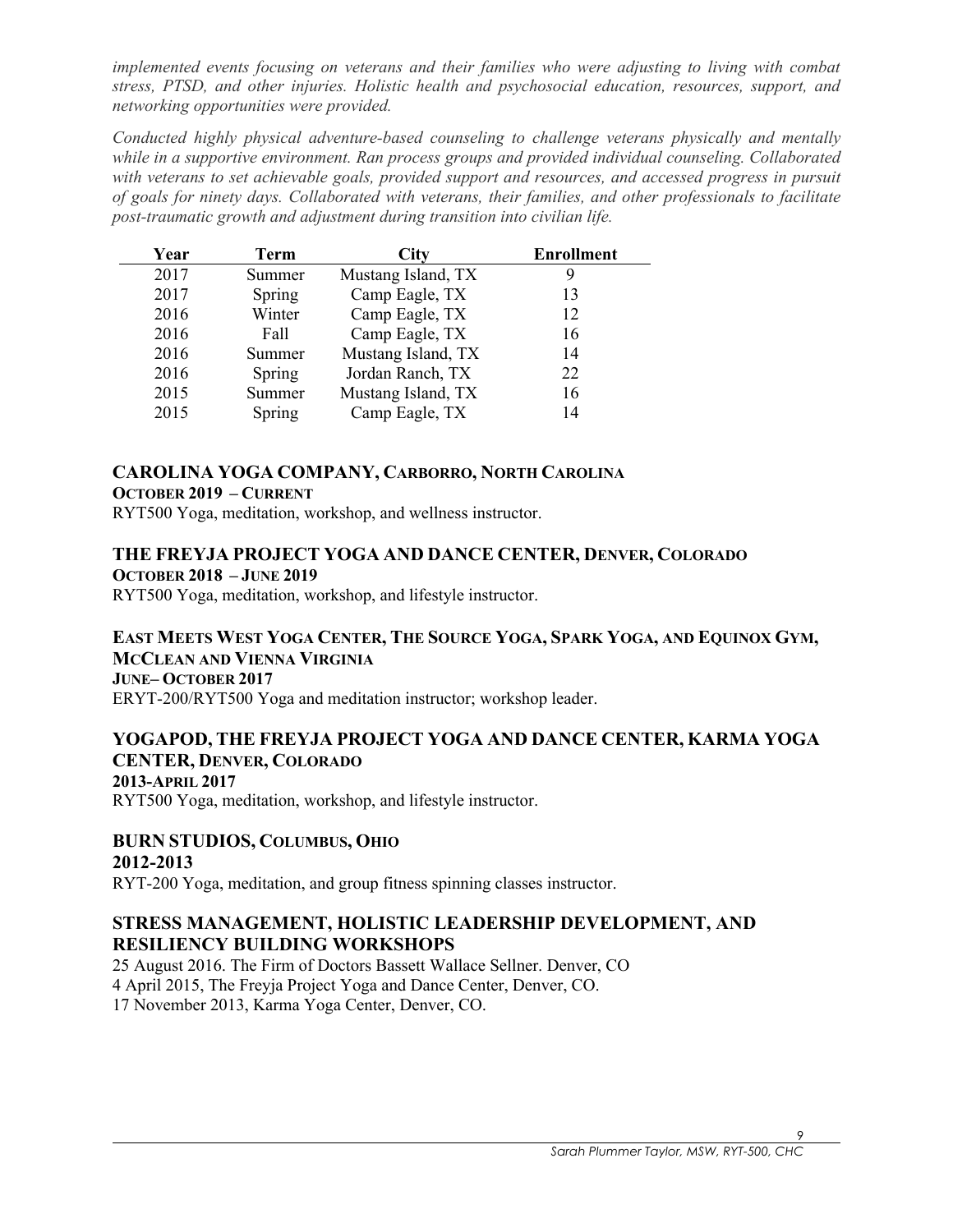*implemented events focusing on veterans and their families who were adjusting to living with combat stress, PTSD, and other injuries. Holistic health and psychosocial education, resources, support, and networking opportunities were provided.*

*Conducted highly physical adventure-based counseling to challenge veterans physically and mentally while in a supportive environment. Ran process groups and provided individual counseling. Collaborated with veterans to set achievable goals, provided support and resources, and accessed progress in pursuit of goals for ninety days. Collaborated with veterans, their families, and other professionals to facilitate post-traumatic growth and adjustment during transition into civilian life.*

| Year | Term   | <b>City</b>        | <b>Enrollment</b> |
|------|--------|--------------------|-------------------|
| 2017 | Summer | Mustang Island, TX |                   |
| 2017 | Spring | Camp Eagle, TX     | 13                |
| 2016 | Winter | Camp Eagle, TX     | 12                |
| 2016 | Fall   | Camp Eagle, TX     | 16                |
| 2016 | Summer | Mustang Island, TX | 14                |
| 2016 | Spring | Jordan Ranch, TX   | 22                |
| 2015 | Summer | Mustang Island, TX | 16                |
| 2015 | Spring | Camp Eagle, TX     | 14                |

# **CAROLINA YOGA COMPANY, CARBORRO, NORTH CAROLINA**

### **OCTOBER 2019 – CURRENT**

RYT500 Yoga, meditation, workshop, and wellness instructor.

# **THE FREYJA PROJECT YOGA AND DANCE CENTER, DENVER, COLORADO OCTOBER 2018 – JUNE 2019**

RYT500 Yoga, meditation, workshop, and lifestyle instructor.

# **EAST MEETS WEST YOGA CENTER, THE SOURCE YOGA, SPARK YOGA, AND EQUINOX GYM, MCCLEAN AND VIENNA VIRGINIA**

**JUNE– OCTOBER 2017**

ERYT-200/RYT500 Yoga and meditation instructor; workshop leader.

# **YOGAPOD, THE FREYJA PROJECT YOGA AND DANCE CENTER, KARMA YOGA CENTER, DENVER, COLORADO**

### **2013-APRIL 2017**

RYT500 Yoga, meditation, workshop, and lifestyle instructor.

### **BURN STUDIOS, COLUMBUS, OHIO 2012-2013**

RYT-200 Yoga, meditation, and group fitness spinning classes instructor.

# **STRESS MANAGEMENT, HOLISTIC LEADERSHIP DEVELOPMENT, AND RESILIENCY BUILDING WORKSHOPS**

25 August 2016. The Firm of Doctors Bassett Wallace Sellner. Denver, CO 4 April 2015, The Freyja Project Yoga and Dance Center, Denver, CO. 17 November 2013, Karma Yoga Center, Denver, CO.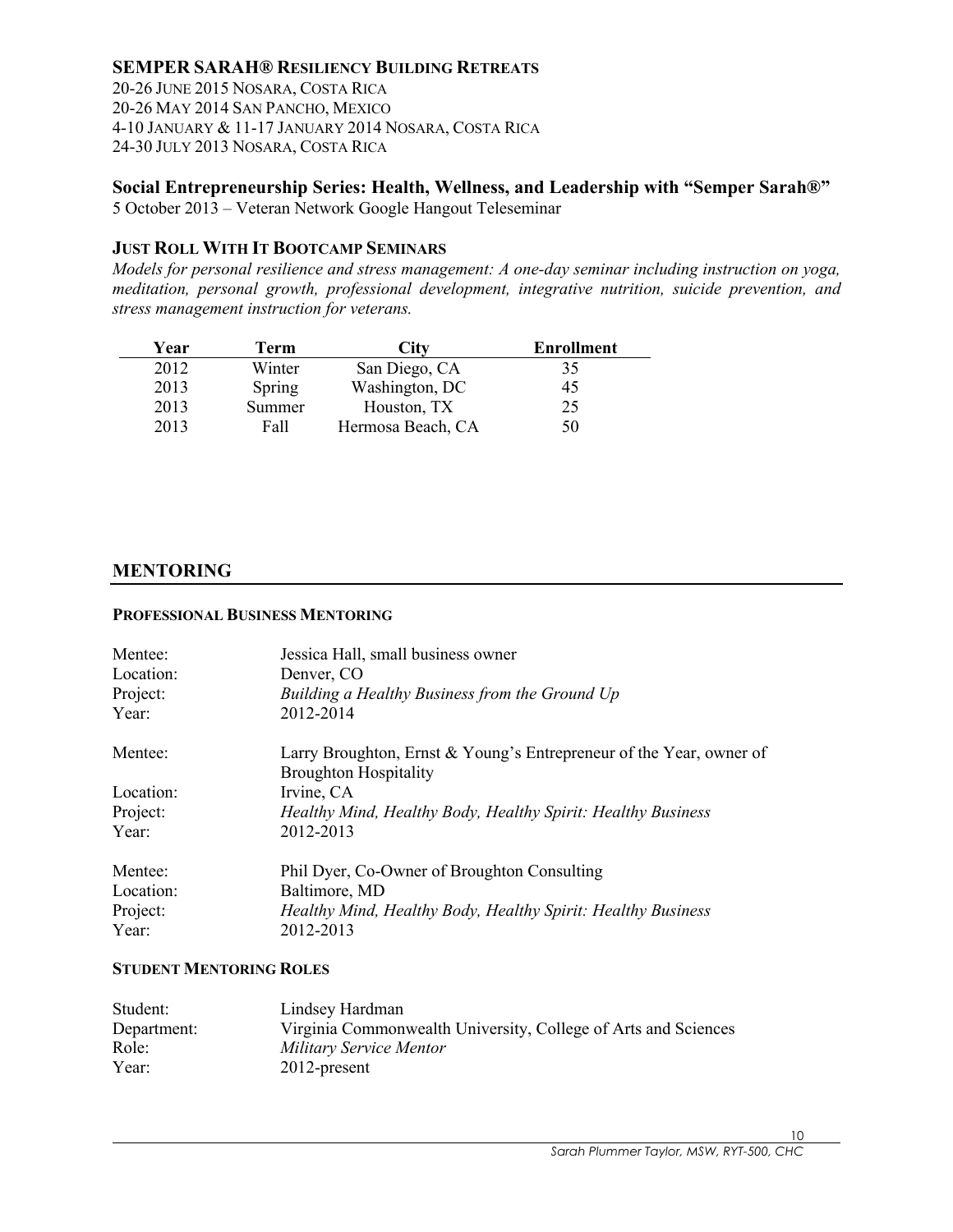# **SEMPER SARAH® RESILIENCY BUILDING RETREATS**

20-26 JUNE 2015 NOSARA, COSTA RICA 20-26 MAY 2014 SAN PANCHO, MEXICO 4-10 JANUARY & 11-17 JANUARY 2014 NOSARA, COSTA RICA 24-30 JULY 2013 NOSARA, COSTA RICA

# **Social Entrepreneurship Series: Health, Wellness, and Leadership with "Semper Sarah®"**

5 October 2013 – Veteran Network Google Hangout Teleseminar

### **JUST ROLL WITH IT BOOTCAMP SEMINARS**

*Models for personal resilience and stress management: A one-day seminar including instruction on yoga, meditation, personal growth, professional development, integrative nutrition, suicide prevention, and stress management instruction for veterans.*

| Year | Term   | ∑itv              | <b>Enrollment</b> |
|------|--------|-------------------|-------------------|
| 2012 | Winter | San Diego, CA     | 35                |
| 2013 | Spring | Washington, DC    | 45                |
| 2013 | Summer | Houston, TX       | 25                |
| 2013 | Fall   | Hermosa Beach, CA | 50                |

### **MENTORING**

#### **PROFESSIONAL BUSINESS MENTORING**

| Jessica Hall, small business owner<br>Denver, CO<br>Building a Healthy Business from the Ground Up<br>2012-2014 |
|-----------------------------------------------------------------------------------------------------------------|
| Larry Broughton, Ernst & Young's Entrepreneur of the Year, owner of<br><b>Broughton Hospitality</b>             |
| Irvine, CA                                                                                                      |
| Healthy Mind, Healthy Body, Healthy Spirit: Healthy Business                                                    |
| 2012-2013                                                                                                       |
| Phil Dyer, Co-Owner of Broughton Consulting                                                                     |
| Baltimore, MD                                                                                                   |
| Healthy Mind, Healthy Body, Healthy Spirit: Healthy Business                                                    |
| 2012-2013                                                                                                       |
|                                                                                                                 |

### **STUDENT MENTORING ROLES**

| Student:    | Lindsey Hardman                                                |
|-------------|----------------------------------------------------------------|
| Department: | Virginia Commonwealth University, College of Arts and Sciences |
| Role:       | Military Service Mentor                                        |
| Year:       | $2012$ -present                                                |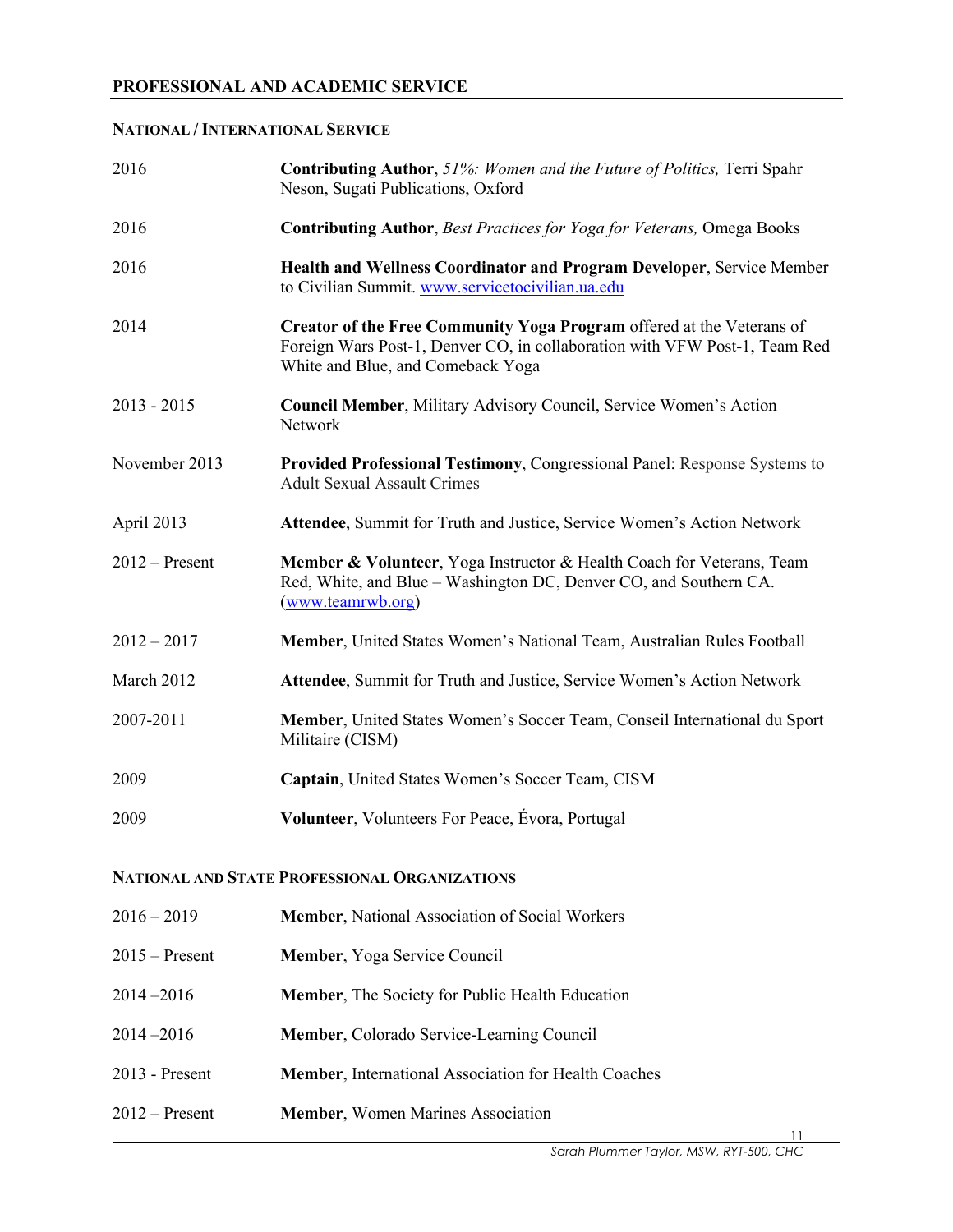### **NATIONAL / INTERNATIONAL SERVICE**

| 2016             | <b>Contributing Author, 51%: Women and the Future of Politics, Terri Spahr</b><br>Neson, Sugati Publications, Oxford                                                                     |
|------------------|------------------------------------------------------------------------------------------------------------------------------------------------------------------------------------------|
| 2016             | <b>Contributing Author, Best Practices for Yoga for Veterans, Omega Books</b>                                                                                                            |
| 2016             | Health and Wellness Coordinator and Program Developer, Service Member<br>to Civilian Summit. www.servicetocivilian.ua.edu                                                                |
| 2014             | Creator of the Free Community Yoga Program offered at the Veterans of<br>Foreign Wars Post-1, Denver CO, in collaboration with VFW Post-1, Team Red<br>White and Blue, and Comeback Yoga |
| $2013 - 2015$    | Council Member, Military Advisory Council, Service Women's Action<br>Network                                                                                                             |
| November 2013    | Provided Professional Testimony, Congressional Panel: Response Systems to<br><b>Adult Sexual Assault Crimes</b>                                                                          |
| April 2013       | Attendee, Summit for Truth and Justice, Service Women's Action Network                                                                                                                   |
| $2012 -$ Present | Member & Volunteer, Yoga Instructor & Health Coach for Veterans, Team<br>Red, White, and Blue - Washington DC, Denver CO, and Southern CA.<br>(www.teamrwb.org)                          |
| $2012 - 2017$    | Member, United States Women's National Team, Australian Rules Football                                                                                                                   |
| March 2012       | Attendee, Summit for Truth and Justice, Service Women's Action Network                                                                                                                   |
| 2007-2011        | Member, United States Women's Soccer Team, Conseil International du Sport<br>Militaire (CISM)                                                                                            |
| 2009             | Captain, United States Women's Soccer Team, CISM                                                                                                                                         |
| 2009             | Volunteer, Volunteers For Peace, Évora, Portugal                                                                                                                                         |

# **NATIONAL AND STATE PROFESSIONAL ORGANIZATIONS**

| $2016 - 2019$    | <b>Member, National Association of Social Workers</b>  |
|------------------|--------------------------------------------------------|
| $2015 -$ Present | Member, Yoga Service Council                           |
| 2014-2016        | <b>Member, The Society for Public Health Education</b> |
| 2014-2016        | Member, Colorado Service-Learning Council              |
| 2013 - Present   | Member, International Association for Health Coaches   |
| 2012 – Present   | <b>Member, Women Marines Association</b>               |

 $\overline{\phantom{0}}$